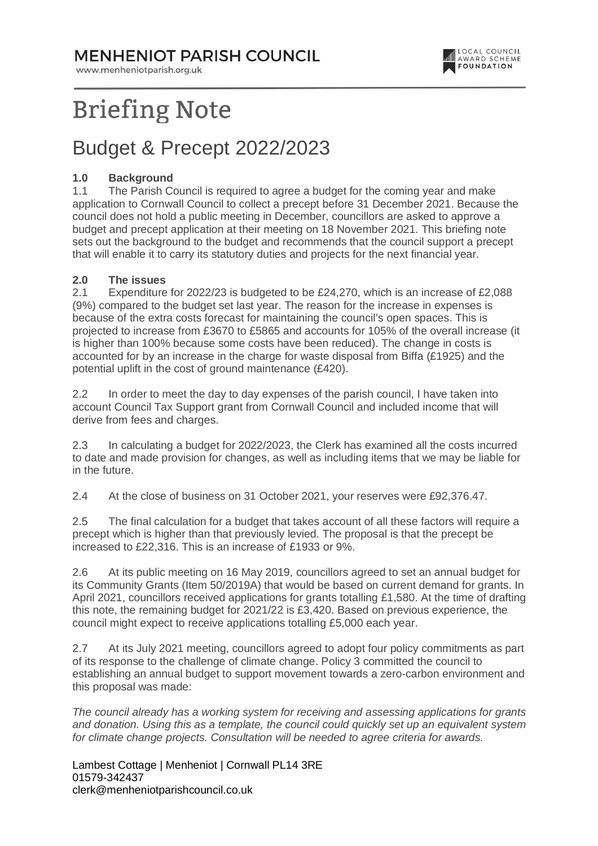### **MENHENIOT PARISH COUNCIL**

www.menheniotparish.org.uk



# **Briefing Note**

### Budget & Precept 2022/2023

#### **1.0 Background**

1.1 The Parish Council is required to agree a budget for the coming year and make application to Cornwall Council to collect a precept before 31 December 2021. Because the council does not hold a public meeting in December, councillors are asked to approve a budget and precept application at their meeting on 18 November 2021. This briefing note sets out the background to the budget and recommends that the council support a precept that will enable it to carry its statutory duties and projects for the next financial year.

#### **2.0 The issues**

2.1 Expenditure for 2022/23 is budgeted to be £24,270, which is an increase of £2,088 (9%) compared to the budget set last year. The reason for the increase in expenses is because of the extra costs forecast for maintaining the council's open spaces. This is projected to increase from £3670 to £5865 and accounts for 105% of the overall increase (it is higher than 100% because some costs have been reduced). The change in costs is accounted for by an increase in the charge for waste disposal from Biffa (£1925) and the potential uplift in the cost of ground maintenance (£420).

2.2 In order to meet the day to day expenses of the parish council, I have taken into account Council Tax Support grant from Cornwall Council and included income that will derive from fees and charges.

2.3 In calculating a budget for 2022/2023, the Clerk has examined all the costs incurred to date and made provision for changes, as well as including items that we may be liable for in the future.

2.4 At the close of business on 31 October 2021, your reserves were £92,376.47.

2.5 The final calculation for a budget that takes account of all these factors will require a precept which is higher than that previously levied. The proposal is that the precept be increased to £22,316. This is an increase of £1933 or 9%.

2.6 At its public meeting on 16 May 2019, councillors agreed to set an annual budget for its Community Grants (Item 50/2019A) that would be based on current demand for grants. In April 2021, councillors received applications for grants totalling £1,580. At the time of drafting this note, the remaining budget for 2021/22 is £3,420. Based on previous experience, the council might expect to receive applications totalling £5,000 each year.

2.7 At its July 2021 meeting, councillors agreed to adopt four policy commitments as part of its response to the challenge of climate change. Policy 3 committed the council to establishing an annual budget to support movement towards a zero-carbon environment and this proposal was made:

The council already has a working system for receiving and assessing applications for grants and donation. Using this as a template, the council could quickly set up an equivalent system for climate change projects. Consultation will be needed to agree criteria for awards.

Lambest Cottage | Menheniot | Cornwall PL14 3RE 01579-342437 clerk@menheniotparishcouncil.co.uk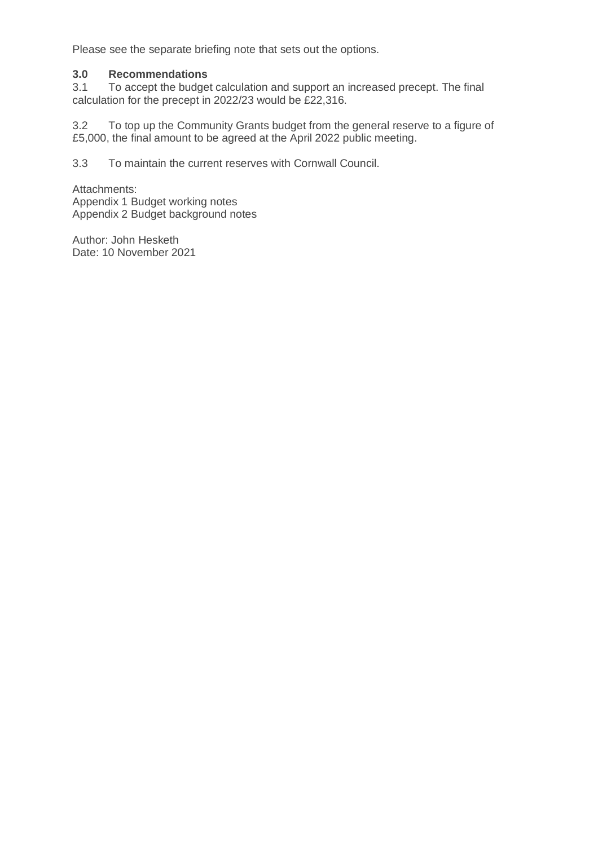Please see the separate briefing note that sets out the options.

#### **3.0 Recommendations**

3.1 To accept the budget calculation and support an increased precept. The final calculation for the precept in 2022/23 would be £22,316.

3.2 To top up the Community Grants budget from the general reserve to a figure of £5,000, the final amount to be agreed at the April 2022 public meeting.

3.3 To maintain the current reserves with Cornwall Council.

Attachments: Appendix 1 Budget working notes Appendix 2 Budget background notes

Author: John Hesketh Date: 10 November 2021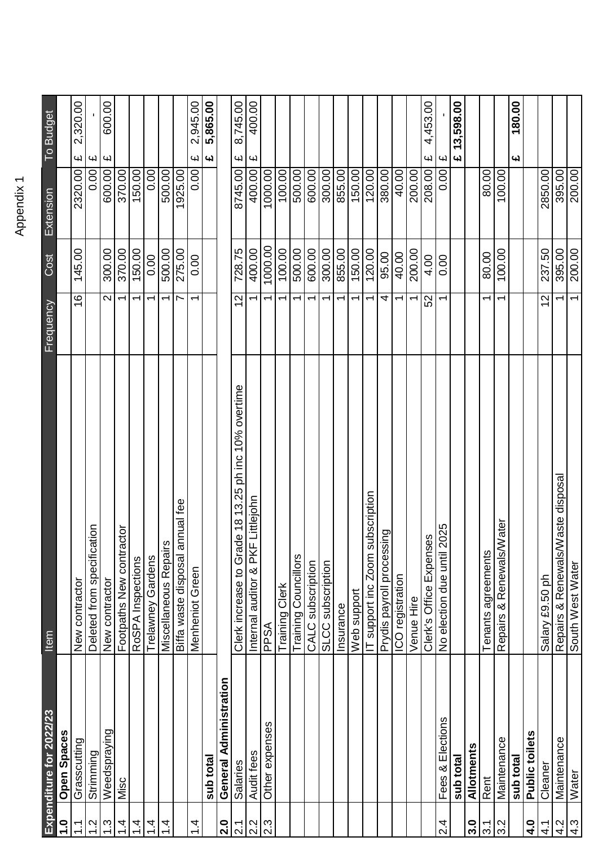| 2 |
|---|
|   |
|   |
|   |
|   |
|   |
|   |

|                              | Expenditure for 2022/23 | Item                                                 | Frequency                |         | Cost Extension | To Budget                            |
|------------------------------|-------------------------|------------------------------------------------------|--------------------------|---------|----------------|--------------------------------------|
|                              | <b>Open Spaces</b>      |                                                      |                          |         |                |                                      |
| <u>는</u>                     | Grasscutting            | New contractor                                       | $\frac{6}{1}$            | 145.00  | 2320.00        | 2,320.00<br>$\overline{\mathbf{f}}$  |
| ù.                           | Strimming               | ation<br>Deleted from specific                       |                          |         | 0.00           | $\boldsymbol{\omega}$                |
| $\tilde{\mathfrak{c}}$       | Weedspraying            | New contractor                                       | $\mathbf{\Omega}$        | 300.00  | 600.00         | 600.00<br>$\overline{\mathbf{f}}$    |
| 4                            | Misc                    | actor<br>Footpaths New contr                         | $\overline{\phantom{0}}$ | 370.00  | 370.00         |                                      |
| 4                            |                         | RoSPA Inspections                                    | $\overline{\phantom{0}}$ | 150.00  | 150.00         |                                      |
| 4                            |                         | Trelawney Gardens                                    | $\overline{\phantom{0}}$ | 0.00    | 0.00           |                                      |
| 4                            |                         | ά,<br>Miscellaneous Repai                            | ↽                        | 500.00  | 500.00         |                                      |
|                              |                         | annual fee<br>Biffa waste disposal                   | $\overline{\phantom{0}}$ | 275.00  | 1925.00        |                                      |
| 4.                           |                         | Menheniot Green                                      | ᡪ                        | 0.00    | 0.00           | 2,945.00<br>E                        |
|                              | sub total               |                                                      |                          |         |                | 5,865.00<br>$\pmb{\omega}$           |
| 2.0                          | General Administration  |                                                      |                          |         |                |                                      |
| $\overline{2}$ .             | Salaries                | Clerk increase to Grade 18 13.25 ph inc 10% overtime | $\overline{c}$           | 728.75  | 8745.00        | 8,745.00<br>$\overline{\mathbf{f}}$  |
| $\left  \frac{2}{3} \right $ | Audit fees              | Internal auditor & PKF Littlejohn                    | $\overline{\phantom{0}}$ | 400.00  | 400.00         | 400.00<br>$\mathbf{f}$               |
|                              | Other expenses          | PPSA                                                 | $\overline{\phantom{0}}$ | 1000.00 | 1000.00        |                                      |
|                              |                         | Training Clerk                                       | $\overline{\phantom{0}}$ | 100.00  | 100.00         |                                      |
|                              |                         | <b>Training Councillors</b>                          | $\overline{\phantom{0}}$ | 500.00  | 500.00         |                                      |
|                              |                         | CALC subscription                                    | $\overline{\phantom{0}}$ | 600.00  | 600.00         |                                      |
|                              |                         | SLCC subscription                                    | $\overline{\phantom{0}}$ | 300.00  | 00.00          |                                      |
|                              |                         | Insurance                                            | $\overline{\phantom{0}}$ | 855.00  | 855.00         |                                      |
|                              |                         | Web support                                          | $\overline{\phantom{0}}$ | 150.00  | 150.00         |                                      |
|                              |                         | subscription<br>IT support inc Zoom                  | $\overline{\phantom{0}}$ | 120.00  | 120.00         |                                      |
|                              |                         | Prydis payroll processing                            | 4                        | 95.00   | 380.00         |                                      |
|                              |                         | ICO registration                                     | $\overline{\phantom{0}}$ | 40.00   | 40.00          |                                      |
|                              |                         | Venue Hire                                           | ᡪ                        | 200.00  | 200.00         |                                      |
|                              |                         | Clerk's Office Expenses                              | 52                       | 4.00    | 208.00         | 4,453.00<br>W                        |
| $\frac{4}{2}$                | Fees & Elections        | 2025<br>No election due until                        | $\overline{\phantom{0}}$ | 0.00    | 0.00           | $\mathbf{r}$                         |
|                              | sub total               |                                                      |                          |         |                | 13,598.00<br>$\overline{\mathbf{u}}$ |
| 3.0                          | Allotments              |                                                      |                          |         |                |                                      |
| 3.1                          | Rent                    | Tenants agreements                                   | ᡪ                        | 80.00   | 80.00          |                                      |
| $3.\overline{2}$             | Maintenance             | <b>Water</b><br>Repairs & Renewals/                  | $\overline{\phantom{0}}$ | 100.00  | 100.00         |                                      |
|                              | sub total               |                                                      |                          |         |                | 180.00<br>یم                         |
| 4.0                          | Public toilets          |                                                      |                          |         |                |                                      |
| 4.1                          | Cleaner                 | Salary £9.50 ph                                      | 2                        | 237.50  | 2850.00        |                                      |
| $rac{27}{77}$                | Maintenance             | Waste disposal<br>Repairs & Renewals                 |                          | 395.00  | 395.00         |                                      |
|                              | Water                   | South West Water                                     | $\overline{\phantom{0}}$ | 200.00  | 200.00         |                                      |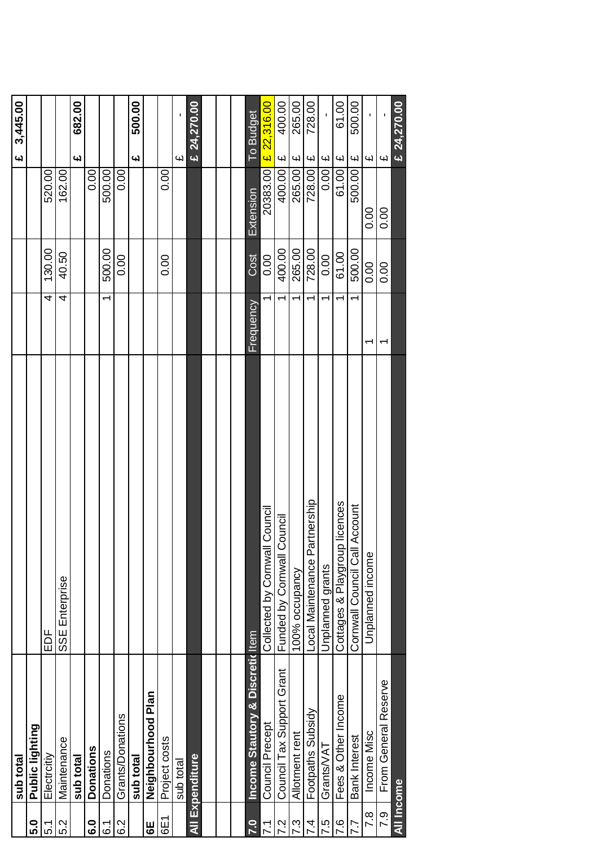|                      | sub total                        |                                        |                          |        |           | 3,445.00<br><u>ی</u>              |
|----------------------|----------------------------------|----------------------------------------|--------------------------|--------|-----------|-----------------------------------|
| <b>ດ</b> .           | Public lighting                  |                                        |                          |        |           |                                   |
| 5.1                  | Electroitiy                      | EDF                                    | 4                        | 130.00 | 520.00    |                                   |
| 5.2                  | Maintenance                      | SSE Enterprise                         | 4                        | 40.50  | 162.00    |                                   |
|                      | sub total                        |                                        |                          |        |           | 682.00<br><u>ی</u>                |
| <u>င</u>             | <b>Donations</b>                 |                                        |                          |        | 0.00      |                                   |
| .<br>ბ               | Donations                        |                                        | $\overline{\phantom{0}}$ | 500.00 | 500.00    |                                   |
| 6.2                  | Grants/Donations                 |                                        |                          | 0.00   | 0.00      |                                   |
|                      | sub total                        |                                        |                          |        |           | 500.00<br><u>ی</u>                |
| $\overline{6}$       | Neighbourhood Plan               |                                        |                          |        |           |                                   |
| 6E1                  | Project costs                    |                                        |                          | 0.00   | 0.00      |                                   |
|                      | sub total                        |                                        |                          |        |           | <b>Chi</b>                        |
|                      | All Expenditure                  |                                        |                          |        |           | € 24,270.00                       |
|                      |                                  |                                        |                          |        |           |                                   |
|                      |                                  |                                        |                          |        |           |                                   |
|                      |                                  |                                        |                          |        |           |                                   |
| $\ddot{\mathbf{c}}$  | Income Stautory & Discretic Item |                                        | <b>Frequency</b>         | Cost   | Extension | To Budget                         |
| 7                    | Council Precept                  | <b>Council</b><br>Collected by Cornwal |                          | 0.00   | 20383.00  | £ 22,316.00                       |
| $\ddot{\phantom{0}}$ | Council Tax Support Grant        | Council<br>Funded by Cornwall C        | $\div$                   | 400.00 | 400.00    | 400.00<br>$\overline{\mathbf{u}}$ |
| 7.3                  | Allotment rent                   | 100% occupancy                         | ᡪ                        | 265.00 | 265.00    | 265.00<br>$\omega$                |
| 4.                   | Footpaths Subsidy                | ocal Maintenance Partnership           | ᡪ                        | 728.00 | 728.00    | 728.00<br>$\omega$                |
| ပ္ပ                  | Grants/VAT                       | Unplanned grants                       |                          | 0.00   | 0.00      | $\overline{\mathbf{f}}$           |
| $\ddot{\mathbf{e}}$  | Fees & Other Income              | Cottages & Playgroup licences          |                          | 61.00  | 61.00     | 61.00<br>$\overline{\mathbf{f}}$  |
| 7.7                  | Bank Interest                    | Account<br>Cornwall Council Call       | $\overline{ }$           | 500.00 | 500.00    | 500.00<br>$\overline{\mathbf{f}}$ |
| $\overline{7}$ .8    | Income Misc                      | Unplanned income                       | ᡪ                        | 0.00   | 0.00      | f,<br>$\overline{\mathbf{f}}$     |
| <b>P.5</b>           | From General Reserve             |                                        | ↽                        | 0.00   | 0.00      | $\overline{\mathbf{f}}$           |
| All Income           |                                  |                                        |                          |        |           | € 24,270.00                       |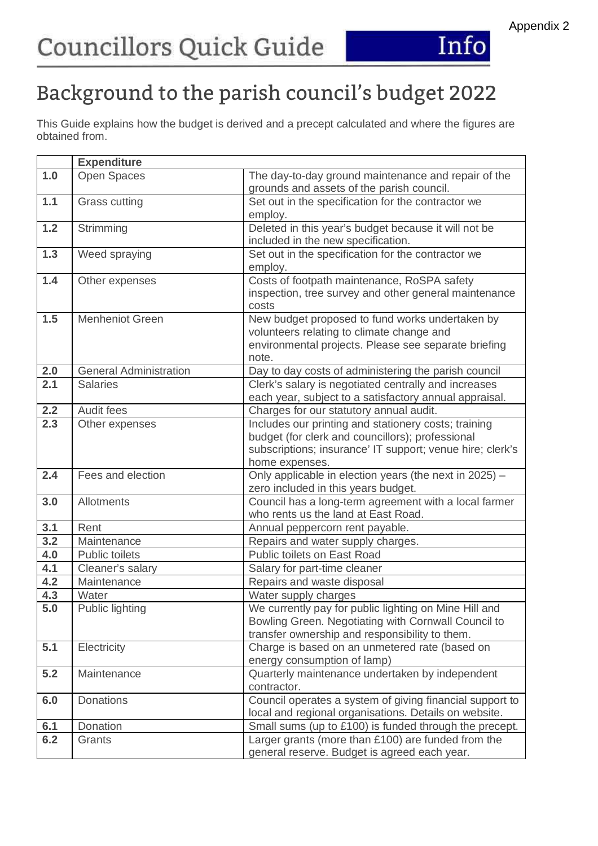

### Appendix 2

## Background to the parish council's budget 2022

This Guide explains how the budget is derived and a precept calculated and where the figures are obtained from.

|                  | <b>Expenditure</b>            |                                                                                                                                                                                         |
|------------------|-------------------------------|-----------------------------------------------------------------------------------------------------------------------------------------------------------------------------------------|
| 1.0              | <b>Open Spaces</b>            | The day-to-day ground maintenance and repair of the<br>grounds and assets of the parish council.                                                                                        |
| 1.1              | Grass cutting                 | Set out in the specification for the contractor we<br>employ.                                                                                                                           |
| 1.2              | Strimming                     | Deleted in this year's budget because it will not be<br>included in the new specification.                                                                                              |
| 1.3              | Weed spraying                 | Set out in the specification for the contractor we<br>employ.                                                                                                                           |
| 1.4              | Other expenses                | Costs of footpath maintenance, RoSPA safety<br>inspection, tree survey and other general maintenance<br>costs                                                                           |
| 1.5              | <b>Menheniot Green</b>        | New budget proposed to fund works undertaken by<br>volunteers relating to climate change and<br>environmental projects. Please see separate briefing<br>note.                           |
| 2.0              | <b>General Administration</b> | Day to day costs of administering the parish council                                                                                                                                    |
| 2.1              | <b>Salaries</b>               | Clerk's salary is negotiated centrally and increases<br>each year, subject to a satisfactory annual appraisal.                                                                          |
| 2.2              | Audit fees                    | Charges for our statutory annual audit.                                                                                                                                                 |
| 2.3              | Other expenses                | Includes our printing and stationery costs; training<br>budget (for clerk and councillors); professional<br>subscriptions; insurance' IT support; venue hire; clerk's<br>home expenses. |
| 2.4              | Fees and election             | Only applicable in election years (the next in 2025) $-$<br>zero included in this years budget.                                                                                         |
| 3.0              | <b>Allotments</b>             | Council has a long-term agreement with a local farmer<br>who rents us the land at East Road.                                                                                            |
| 3.1              | Rent                          | Annual peppercorn rent payable.                                                                                                                                                         |
| 3.2              | Maintenance                   | Repairs and water supply charges.                                                                                                                                                       |
| 4.0              | <b>Public toilets</b>         | Public toilets on East Road                                                                                                                                                             |
| 4.1              | Cleaner's salary              | Salary for part-time cleaner                                                                                                                                                            |
| 4.2              | Maintenance                   | Repairs and waste disposal                                                                                                                                                              |
| 4.3              | Water                         | Water supply charges                                                                                                                                                                    |
| $5.\overline{0}$ | Public lighting               | We currently pay for public lighting on Mine Hill and<br>Bowling Green. Negotiating with Cornwall Council to<br>transfer ownership and responsibility to them.                          |
| 5.1              | Electricity                   | Charge is based on an unmetered rate (based on<br>energy consumption of lamp)                                                                                                           |
| 5.2              | Maintenance                   | Quarterly maintenance undertaken by independent<br>contractor.                                                                                                                          |
| 6.0              | <b>Donations</b>              | Council operates a system of giving financial support to<br>local and regional organisations. Details on website.                                                                       |
| 6.1              | Donation                      | Small sums (up to £100) is funded through the precept.                                                                                                                                  |
| 6.2              | Grants                        | Larger grants (more than £100) are funded from the<br>general reserve. Budget is agreed each year.                                                                                      |